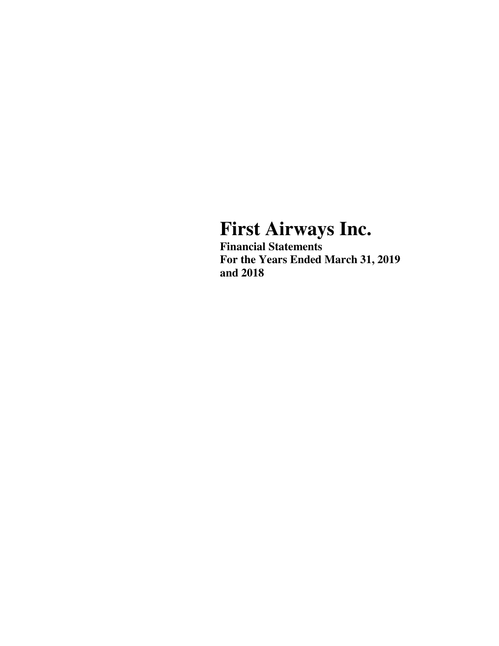# **First Airways Inc.**

**Financial Statements For the Years Ended March 31, 2019 and 2018**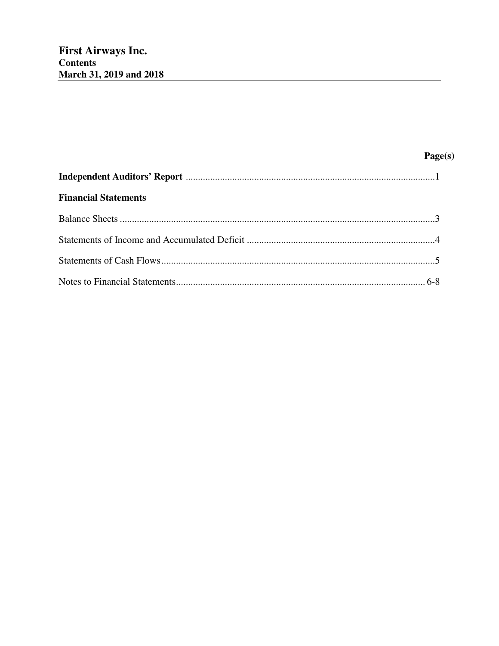# Page(s)

| <b>Financial Statements</b> |  |
|-----------------------------|--|
|                             |  |
|                             |  |
|                             |  |
|                             |  |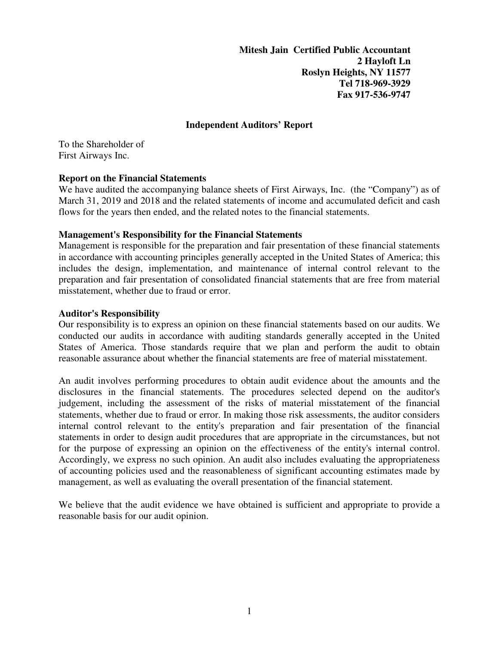**Mitesh Jain Certified Public Accountant 2 Hayloft Ln Roslyn Heights, NY 11577 Tel 718-969-3929 Fax 917-536-9747** 

#### **Independent Auditors' Report**

To the Shareholder of First Airways Inc.

#### **Report on the Financial Statements**

We have audited the accompanying balance sheets of First Airways, Inc. (the "Company") as of March 31, 2019 and 2018 and the related statements of income and accumulated deficit and cash flows for the years then ended, and the related notes to the financial statements.

#### **Management's Responsibility for the Financial Statements**

Management is responsible for the preparation and fair presentation of these financial statements in accordance with accounting principles generally accepted in the United States of America; this includes the design, implementation, and maintenance of internal control relevant to the preparation and fair presentation of consolidated financial statements that are free from material misstatement, whether due to fraud or error.

#### **Auditor's Responsibility**

Our responsibility is to express an opinion on these financial statements based on our audits. We conducted our audits in accordance with auditing standards generally accepted in the United States of America. Those standards require that we plan and perform the audit to obtain reasonable assurance about whether the financial statements are free of material misstatement.

An audit involves performing procedures to obtain audit evidence about the amounts and the disclosures in the financial statements. The procedures selected depend on the auditor's judgement, including the assessment of the risks of material misstatement of the financial statements, whether due to fraud or error. In making those risk assessments, the auditor considers internal control relevant to the entity's preparation and fair presentation of the financial statements in order to design audit procedures that are appropriate in the circumstances, but not for the purpose of expressing an opinion on the effectiveness of the entity's internal control. Accordingly, we express no such opinion. An audit also includes evaluating the appropriateness of accounting policies used and the reasonableness of significant accounting estimates made by management, as well as evaluating the overall presentation of the financial statement.

We believe that the audit evidence we have obtained is sufficient and appropriate to provide a reasonable basis for our audit opinion.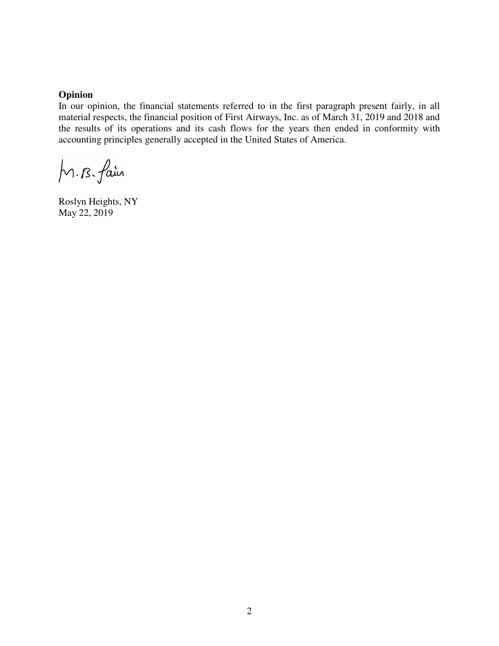# **Opinion**

In our opinion, the financial statements referred to in the first paragraph present fairly, in all material respects, the financial position of First Airways, Inc. as of March 31, 2019 and 2018 and the results of its operations and its cash flows for the years then ended in conformity with accounting principles generally accepted in the United States of America.

M.B. fain

Roslyn Heights, NY May 22, 2019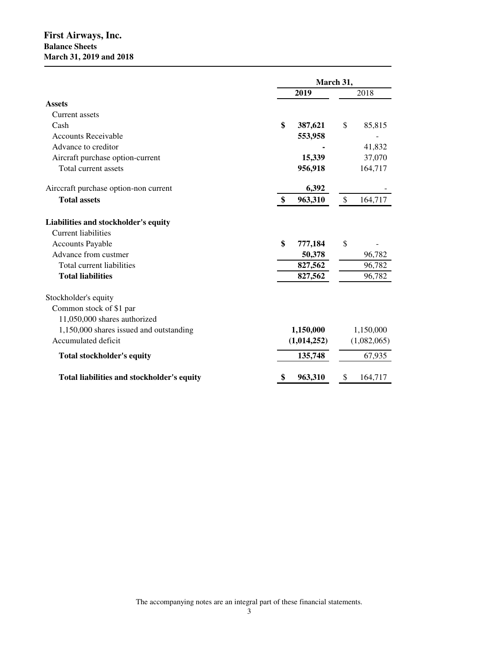# **First Airways, Inc. Balance Sheets March 31, 2019 and 2018**

|                                                                                                                                                                                | March 31,                                     |                                      |
|--------------------------------------------------------------------------------------------------------------------------------------------------------------------------------|-----------------------------------------------|--------------------------------------|
|                                                                                                                                                                                | 2019                                          | 2018                                 |
| <b>Assets</b>                                                                                                                                                                  |                                               |                                      |
| Current assets                                                                                                                                                                 |                                               |                                      |
| Cash                                                                                                                                                                           | \$<br>387,621                                 | \$<br>85,815                         |
| <b>Accounts Receivable</b>                                                                                                                                                     | 553,958                                       |                                      |
| Advance to creditor                                                                                                                                                            |                                               | 41,832                               |
| Aircraft purchase option-current                                                                                                                                               | 15,339                                        | 37,070                               |
| Total current assets                                                                                                                                                           | 956,918                                       | 164,717                              |
| Airccraft purchase option-non current                                                                                                                                          | 6,392                                         |                                      |
| <b>Total assets</b>                                                                                                                                                            | $\mathbf{\$}$<br>963,310                      | $\boldsymbol{\mathsf{S}}$<br>164,717 |
| Liabilities and stockholder's equity<br><b>Current liabilities</b><br><b>Accounts Payable</b><br>Advance from custmer<br>Total current liabilities<br><b>Total liabilities</b> | \$<br>777,184<br>50,378<br>827,562<br>827,562 | \$<br>96,782<br>96,782<br>96,782     |
| Stockholder's equity<br>Common stock of \$1 par<br>11,050,000 shares authorized<br>1,150,000 shares issued and outstanding<br>Accumulated deficit                              | 1,150,000<br>(1,014,252)                      | 1,150,000<br>(1,082,065)             |
| <b>Total stockholder's equity</b>                                                                                                                                              | 135,748                                       | 67,935                               |
| Total liabilities and stockholder's equity                                                                                                                                     | 963,310<br>\$                                 | \$<br>164,717                        |

The accompanying notes are an integral part of these financial statements.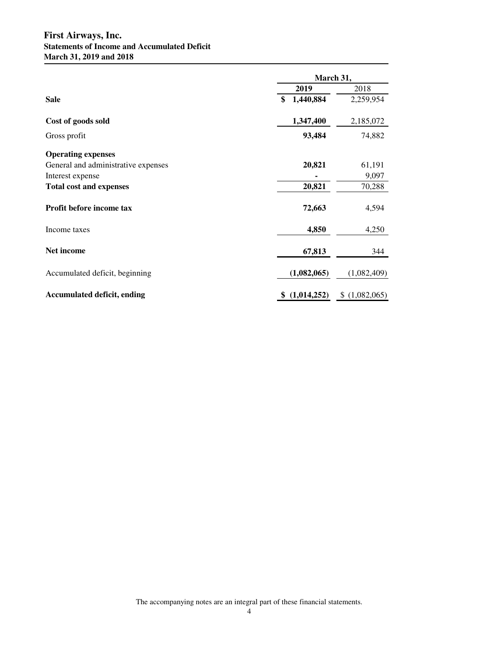### **First Airways, Inc. Statements of Income and Accumulated Deficit March 31, 2019 and 2018**

|                                     | March 31,          |             |  |
|-------------------------------------|--------------------|-------------|--|
|                                     | 2019               | 2018        |  |
| <b>Sale</b>                         | \$<br>1,440,884    | 2,259,954   |  |
| Cost of goods sold                  | 1,347,400          | 2,185,072   |  |
| Gross profit                        | 93,484             | 74,882      |  |
| <b>Operating expenses</b>           |                    |             |  |
| General and administrative expenses | 20,821             | 61,191      |  |
| Interest expense                    |                    | 9,097       |  |
| <b>Total cost and expenses</b>      | 20,821             | 70,288      |  |
| Profit before income tax            | 72,663             | 4,594       |  |
| Income taxes                        | 4,850              | 4,250       |  |
| <b>Net income</b>                   | 67,813             | 344         |  |
| Accumulated deficit, beginning      | (1,082,065)        | (1,082,409) |  |
| <b>Accumulated deficit, ending</b>  | (1,014,252)<br>SS. | (1,082,065) |  |

The accompanying notes are an integral part of these financial statements.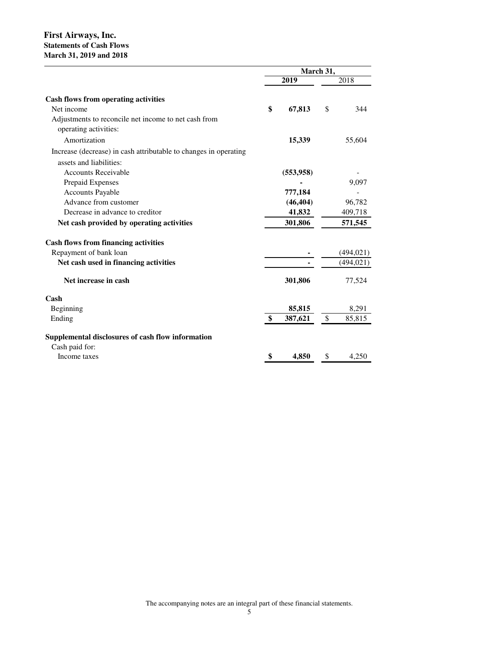#### **First Airways, Inc. Statements of Cash Flows March 31, 2019 and 2018**

|                                                                  | March 31, |            |    |            |
|------------------------------------------------------------------|-----------|------------|----|------------|
|                                                                  |           | 2019       |    | 2018       |
| <b>Cash flows from operating activities</b>                      |           |            |    |            |
| Net income                                                       | \$        | 67,813     | \$ | 344        |
| Adjustments to reconcile net income to net cash from             |           |            |    |            |
| operating activities:                                            |           |            |    |            |
| Amortization                                                     |           | 15,339     |    | 55,604     |
| Increase (decrease) in cash attributable to changes in operating |           |            |    |            |
| assets and liabilities:                                          |           |            |    |            |
| <b>Accounts Receivable</b>                                       |           | (553, 958) |    |            |
| Prepaid Expenses                                                 |           |            |    | 9,097      |
| <b>Accounts Payable</b>                                          |           | 777,184    |    |            |
| Advance from customer                                            |           | (46, 404)  |    | 96,782     |
| Decrease in advance to creditor                                  |           | 41,832     |    | 409,718    |
| Net cash provided by operating activities                        |           | 301,806    |    | 571,545    |
| <b>Cash flows from financing activities</b>                      |           |            |    |            |
| Repayment of bank loan                                           |           |            |    | (494, 021) |
| Net cash used in financing activities                            |           |            |    | (494,021)  |
| Net increase in cash                                             |           | 301,806    |    | 77,524     |
| Cash                                                             |           |            |    |            |
| Beginning                                                        |           | 85,815     |    | 8,291      |
| Ending                                                           | \$        | 387,621    | \$ | 85,815     |
| Supplemental disclosures of cash flow information                |           |            |    |            |
| Cash paid for:                                                   |           |            |    |            |
| Income taxes                                                     | \$        | 4,850      | \$ | 4,250      |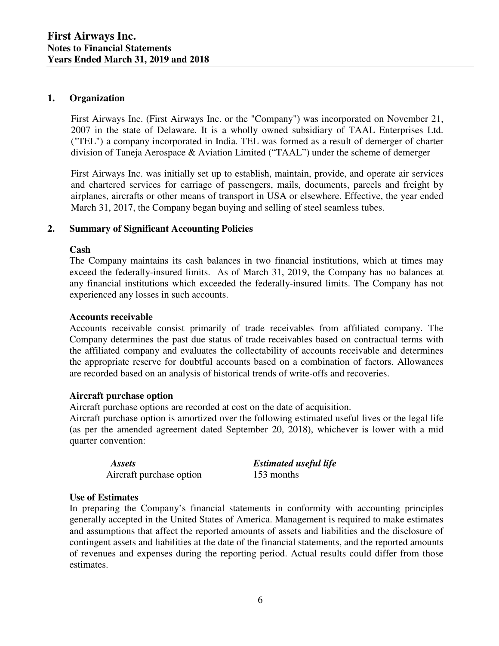#### **1. Organization**

First Airways Inc. (First Airways Inc. or the "Company") was incorporated on November 21, 2007 in the state of Delaware. It is a wholly owned subsidiary of TAAL Enterprises Ltd. ("TEL") a company incorporated in India. TEL was formed as a result of demerger of charter division of Taneja Aerospace & Aviation Limited ("TAAL") under the scheme of demerger

First Airways Inc. was initially set up to establish, maintain, provide, and operate air services and chartered services for carriage of passengers, mails, documents, parcels and freight by airplanes, aircrafts or other means of transport in USA or elsewhere. Effective, the year ended March 31, 2017, the Company began buying and selling of steel seamless tubes.

# **2. Summary of Significant Accounting Policies**

#### **Cash**

The Company maintains its cash balances in two financial institutions, which at times may exceed the federally-insured limits. As of March 31, 2019, the Company has no balances at any financial institutions which exceeded the federally-insured limits. The Company has not experienced any losses in such accounts.

#### **Accounts receivable**

Accounts receivable consist primarily of trade receivables from affiliated company. The Company determines the past due status of trade receivables based on contractual terms with the affiliated company and evaluates the collectability of accounts receivable and determines the appropriate reserve for doubtful accounts based on a combination of factors. Allowances are recorded based on an analysis of historical trends of write-offs and recoveries.

# **Aircraft purchase option**

Aircraft purchase options are recorded at cost on the date of acquisition.

Aircraft purchase option is amortized over the following estimated useful lives or the legal life (as per the amended agreement dated September 20, 2018), whichever is lower with a mid quarter convention:

 *Assets Estimated useful life* Aircraft purchase option 153 months

# **Use of Estimates**

In preparing the Company's financial statements in conformity with accounting principles generally accepted in the United States of America. Management is required to make estimates and assumptions that affect the reported amounts of assets and liabilities and the disclosure of contingent assets and liabilities at the date of the financial statements, and the reported amounts of revenues and expenses during the reporting period. Actual results could differ from those estimates.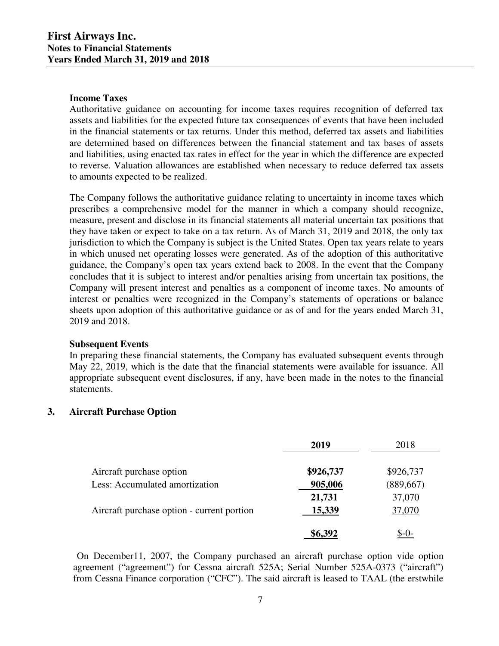#### **Income Taxes**

Authoritative guidance on accounting for income taxes requires recognition of deferred tax assets and liabilities for the expected future tax consequences of events that have been included in the financial statements or tax returns. Under this method, deferred tax assets and liabilities are determined based on differences between the financial statement and tax bases of assets and liabilities, using enacted tax rates in effect for the year in which the difference are expected to reverse. Valuation allowances are established when necessary to reduce deferred tax assets to amounts expected to be realized.

The Company follows the authoritative guidance relating to uncertainty in income taxes which prescribes a comprehensive model for the manner in which a company should recognize, measure, present and disclose in its financial statements all material uncertain tax positions that they have taken or expect to take on a tax return. As of March 31, 2019 and 2018, the only tax jurisdiction to which the Company is subject is the United States. Open tax years relate to years in which unused net operating losses were generated. As of the adoption of this authoritative guidance, the Company's open tax years extend back to 2008. In the event that the Company concludes that it is subject to interest and/or penalties arising from uncertain tax positions, the Company will present interest and penalties as a component of income taxes. No amounts of interest or penalties were recognized in the Company's statements of operations or balance sheets upon adoption of this authoritative guidance or as of and for the years ended March 31, 2019 and 2018.

#### **Subsequent Events**

In preparing these financial statements, the Company has evaluated subsequent events through May 22, 2019, which is the date that the financial statements were available for issuance. All appropriate subsequent event disclosures, if any, have been made in the notes to the financial statements.

#### **3. Aircraft Purchase Option**

|                                            | 2019      | 2018       |
|--------------------------------------------|-----------|------------|
| Aircraft purchase option                   | \$926,737 | \$926,737  |
| Less: Accumulated amortization             | 905,006   | (889, 667) |
|                                            | 21,731    | 37,070     |
| Aircraft purchase option - current portion | 15,339    | 37,070     |
|                                            | \$6,392   | 5-O-       |

On December11, 2007, the Company purchased an aircraft purchase option vide option agreement ("agreement") for Cessna aircraft 525A; Serial Number 525A-0373 ("aircraft") from Cessna Finance corporation ("CFC"). The said aircraft is leased to TAAL (the erstwhile